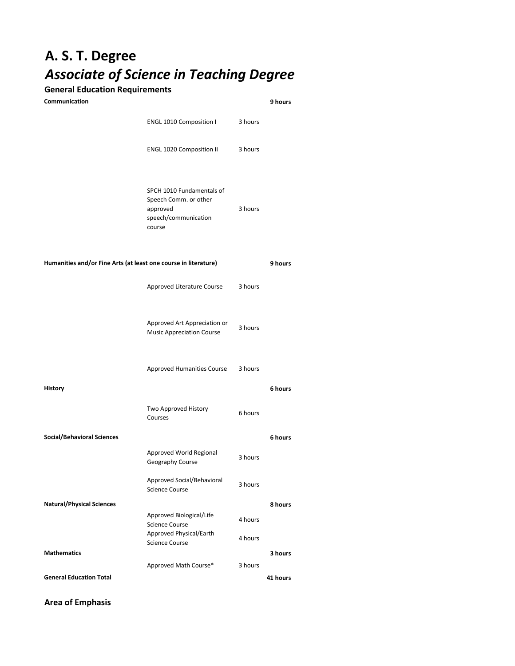## **A. S. T. Degree** *Associate of Science in Teaching Degree*

## **General Education Requirements**

| Communication                                                   |                                                                                                  |         | 9 hours  |
|-----------------------------------------------------------------|--------------------------------------------------------------------------------------------------|---------|----------|
|                                                                 | ENGL 1010 Composition I                                                                          | 3 hours |          |
|                                                                 | ENGL 1020 Composition II                                                                         | 3 hours |          |
|                                                                 | SPCH 1010 Fundamentals of<br>Speech Comm. or other<br>approved<br>speech/communication<br>course | 3 hours |          |
| Humanities and/or Fine Arts (at least one course in literature) |                                                                                                  |         | 9 hours  |
|                                                                 | Approved Literature Course                                                                       | 3 hours |          |
|                                                                 | Approved Art Appreciation or<br><b>Music Appreciation Course</b>                                 | 3 hours |          |
|                                                                 | Approved Humanities Course                                                                       | 3 hours |          |
| <b>History</b>                                                  |                                                                                                  |         | 6 hours  |
|                                                                 | Two Approved History<br>Courses                                                                  | 6 hours |          |
| <b>Social/Behavioral Sciences</b>                               |                                                                                                  |         | 6 hours  |
|                                                                 | Approved World Regional<br>Geography Course                                                      | 3 hours |          |
|                                                                 | Approved Social/Behavioral<br><b>Science Course</b>                                              | 3 hours |          |
| <b>Natural/Physical Sciences</b>                                |                                                                                                  |         | 8 hours  |
|                                                                 | Approved Biological/Life<br><b>Science Course</b>                                                | 4 hours |          |
|                                                                 | Approved Physical/Earth<br><b>Science Course</b>                                                 | 4 hours |          |
| <b>Mathematics</b>                                              |                                                                                                  |         | 3 hours  |
| <b>General Education Total</b>                                  | Approved Math Course*                                                                            | 3 hours | 41 hours |

## **Area of Emphasis**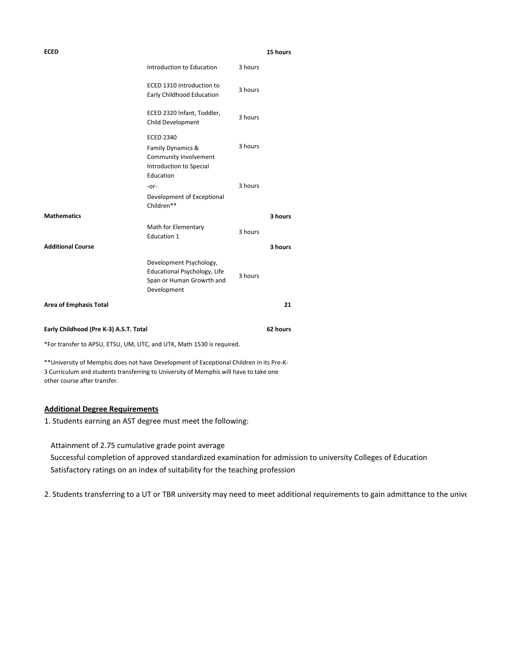| <b>ECED</b>                                                           |                                                                                                        |         | 15 hours |
|-----------------------------------------------------------------------|--------------------------------------------------------------------------------------------------------|---------|----------|
|                                                                       | Introduction to Education                                                                              | 3 hours |          |
|                                                                       | ECED 1310 Introduction to<br>Early Childhood Education                                                 | 3 hours |          |
|                                                                       | ECED 2320 Infant, Toddler,<br>Child Development                                                        | 3 hours |          |
|                                                                       | <b>ECED 2340</b><br>Family Dynamics &<br>Community Involvement<br>Introduction to Special<br>Education | 3 hours |          |
|                                                                       | -or-<br>Development of Exceptional<br>Children**                                                       | 3 hours |          |
| <b>Mathematics</b>                                                    |                                                                                                        |         | 3 hours  |
|                                                                       | Math for Elementary<br>Education 1                                                                     | 3 hours |          |
| <b>Additional Course</b>                                              |                                                                                                        |         | 3 hours  |
|                                                                       | Development Psychology,<br>Educational Psychology, Life<br>Span or Human Growrth and<br>Development    | 3 hours |          |
| <b>Area of Emphasis Total</b>                                         |                                                                                                        |         | 21       |
| Early Childhood (Pre K-3) A.S.T. Total                                |                                                                                                        |         | 62 hours |
| *For transfer to APSU, ETSU, UM, UTC, and UTK, Math 1530 is required. |                                                                                                        |         |          |

\*\*University of Memphis does not have Development of Exceptional Children in its Pre-K-3 Curriculum and students transferring to University of Memphis will have to take one other course after transfer.

## **Additional Degree Requirements**

1. Students earning an AST degree must meet the following:

Attainment of 2.75 cumulative grade point average Successful completion of approved standardized examination for admission to university Colleges of Education Satisfactory ratings on an index of suitability for the teaching profession

2. Students transferring to a UT or TBR university may need to meet additional requirements to gain admittance to the unive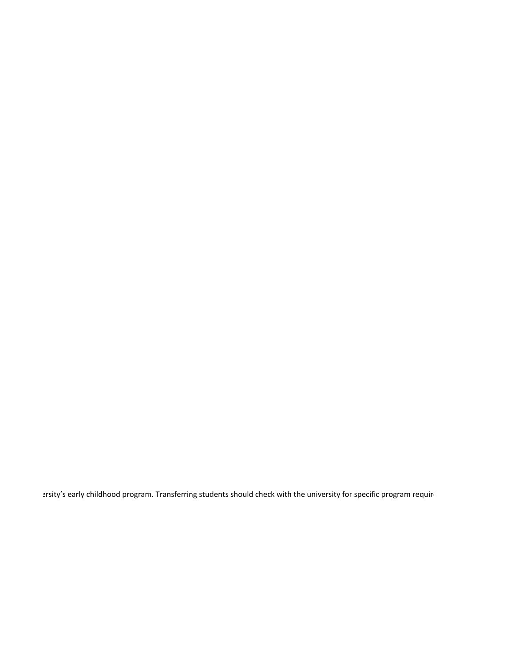ersity's early childhood program. Transferring students should check with the university for specific program requin